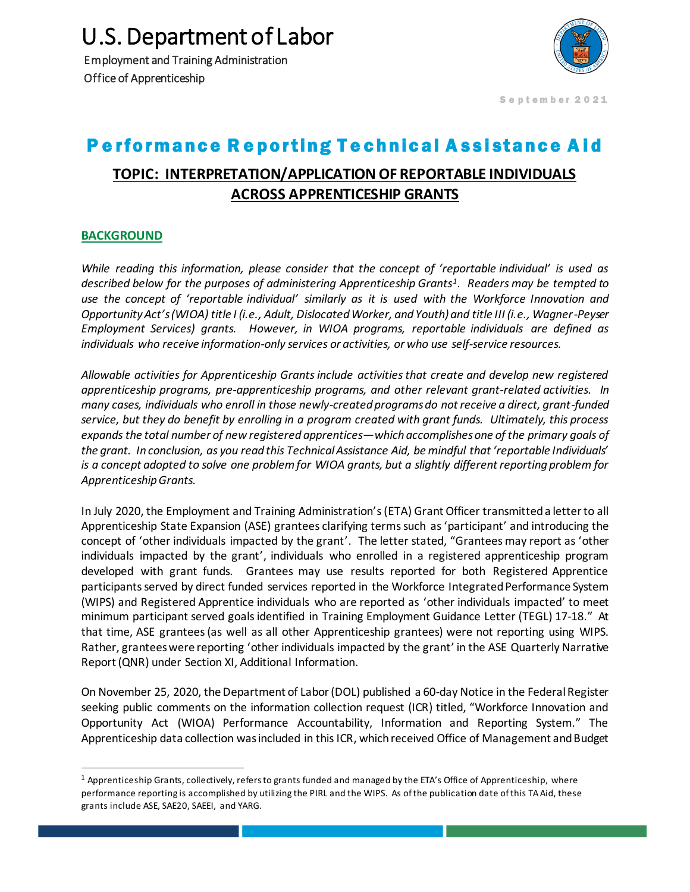U.S. Department of Labor

Employment and Training Administration Office of Apprenticeship



September 2021

## Performance Reporting Technical Assistance Aid

## **TOPIC: INTERPRETATION/APPLICATION OF REPORTABLE INDIVIDUALS ACROSS APPRENTICESHIP GRANTS**

## **BACKGROUND**

l

*While reading this information, please consider that the concept of 'reportable individual' is used as described below for the purposes of administering Apprenticeship Grants<sup>1</sup> . Readers may be tempted to use the concept of 'reportable individual' similarly as it is used with the Workforce Innovation and Opportunity Act's (WIOA) title I (i.e., Adult, Dislocated Worker, and Youth) and title III (i.e., Wagner-Peyser Employment Services) grants. However, in WIOA programs, reportable individuals are defined as individuals who receive information-only services or activities, or who use self-service resources.* 

*Allowable activities for Apprenticeship Grants include activities that create and develop new registered apprenticeship programs, pre-apprenticeship programs, and other relevant grant-related activities. In many cases, individuals who enroll in those newly-created programs do not receive a direct, grant-funded service, but they do benefit by enrolling in a program created with grant funds. Ultimately, this process expands the total number of new registered apprentices—which accomplishes one of the primary goals of the grant. In conclusion, as you read this Technical Assistance Aid, be mindful that 'reportable Individuals' is a concept adopted to solve one problem for WIOA grants, but a slightly different reporting problem for Apprenticeship Grants.*

In July 2020, the Employment and Training Administration's (ETA) Grant Officer transmitted a letter to all Apprenticeship State Expansion (ASE) grantees clarifying termssuch as 'participant' and introducing the concept of 'other individuals impacted by the grant'. The letter stated, "Grantees may report as 'other individuals impacted by the grant', individuals who enrolled in a registered apprenticeship program developed with grant funds. Grantees may use results reported for both Registered Apprentice participants served by direct funded services reported in the Workforce Integrated Performance System (WIPS) and Registered Apprentice individuals who are reported as 'other individuals impacted' to meet minimum participant served goals identified in Training Employment Guidance Letter (TEGL) 17-18." At that time, ASE grantees (as well as all other Apprenticeship grantees) were not reporting using WIPS. Rather, grantees were reporting 'other individuals impacted by the grant' in the ASE Quarterly Narrative Report (QNR) under Section XI, Additional Information.

On November 25, 2020, the Department of Labor (DOL) published a 60-day Notice in the Federal Register seeking public comments on the information collection request (ICR) titled, "Workforce Innovation and Opportunity Act (WIOA) Performance Accountability, Information and Reporting System." The Apprenticeship data collection was included in this ICR, which received Office of Management and Budget

<sup>&</sup>lt;sup>1</sup> Apprenticeship Grants, collectively, refers to grants funded and managed by the ETA's Office of Apprenticeship, where performance reporting is accomplished by utilizing the PIRL and the WIPS. As of the publication date of this TA Aid, these grants include ASE, SAE20, SAEEI, and YARG.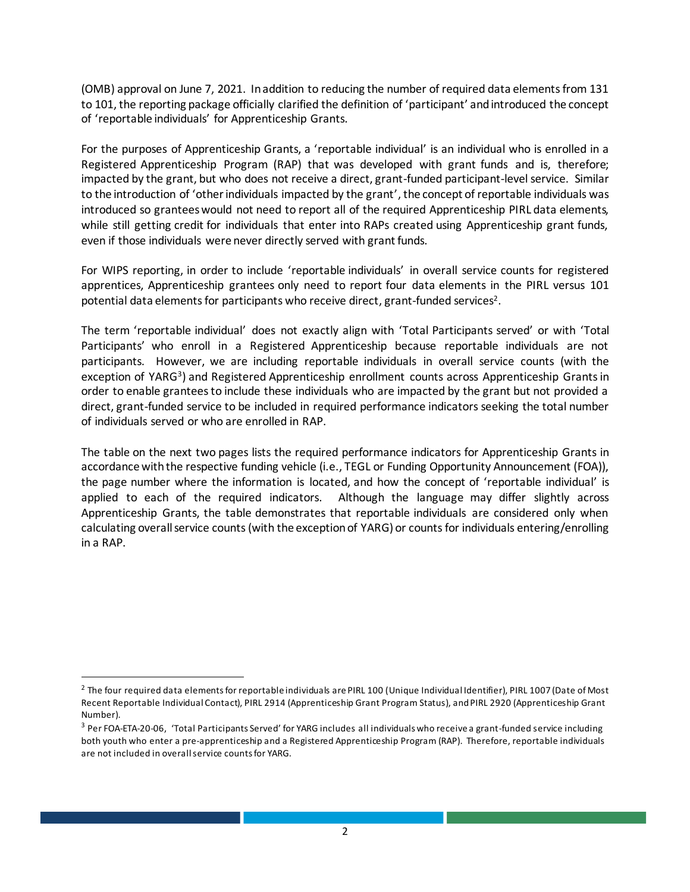(OMB) approval on June 7, 2021. In addition to reducing the number of required data elements from 131 to 101, the reporting package officially clarified the definition of 'participant' and introduced the concept of 'reportable individuals' for Apprenticeship Grants.

For the purposes of Apprenticeship Grants, a 'reportable individual' is an individual who is enrolled in a Registered Apprenticeship Program (RAP) that was developed with grant funds and is, therefore; impacted by the grant, but who does not receive a direct, grant-funded participant-level service. Similar to the introduction of 'other individuals impacted by the grant', the concept of reportable individuals was introduced so grantees would not need to report all of the required Apprenticeship PIRL data elements, while still getting credit for individuals that enter into RAPs created using Apprenticeship grant funds, even if those individuals were never directly served with grant funds.

For WIPS reporting, in order to include 'reportable individuals' in overall service counts for registered apprentices, Apprenticeship grantees only need to report four data elements in the PIRL versus 101 potential data elements for participants who receive direct, grant-funded services<sup>2</sup>.

The term 'reportable individual' does not exactly align with 'Total Participants served' or with 'Total Participants' who enroll in a Registered Apprenticeship because reportable individuals are not participants. However, we are including reportable individuals in overall service counts (with the exception of YARG<sup>3</sup>) and Registered Apprenticeship enrollment counts across Apprenticeship Grants in order to enable grantees to include these individuals who are impacted by the grant but not provided a direct, grant-funded service to be included in required performance indicators seeking the total number of individuals served or who are enrolled in RAP.

The table on the next two pages lists the required performance indicators for Apprenticeship Grants in accordance with the respective funding vehicle (i.e., TEGL or Funding Opportunity Announcement (FOA)), the page number where the information is located, and how the concept of 'reportable individual' is applied to each of the required indicators. Although the language may differ slightly across Apprenticeship Grants, the table demonstrates that reportable individuals are considered only when calculating overall service counts(with the exception of YARG) or countsfor individuals entering/enrolling in a RAP.

 $\overline{a}$ 

<sup>&</sup>lt;sup>2</sup> The four required data elements for reportable individuals are PIRL 100 (Unique Individual Identifier), PIRL 1007 (Date of Most Recent Reportable Individual Contact), PIRL 2914 (Apprenticeship Grant Program Status), and PIRL 2920 (Apprenticeship Grant Number).

<sup>3</sup> Per FOA-ETA-20-06, 'Total Participants Served' for YARG includes all individuals who receive a grant-funded service including both youth who enter a pre-apprenticeship and a Registered Apprenticeship Program (RAP). Therefore, reportable individuals are not included in overall service counts for YARG.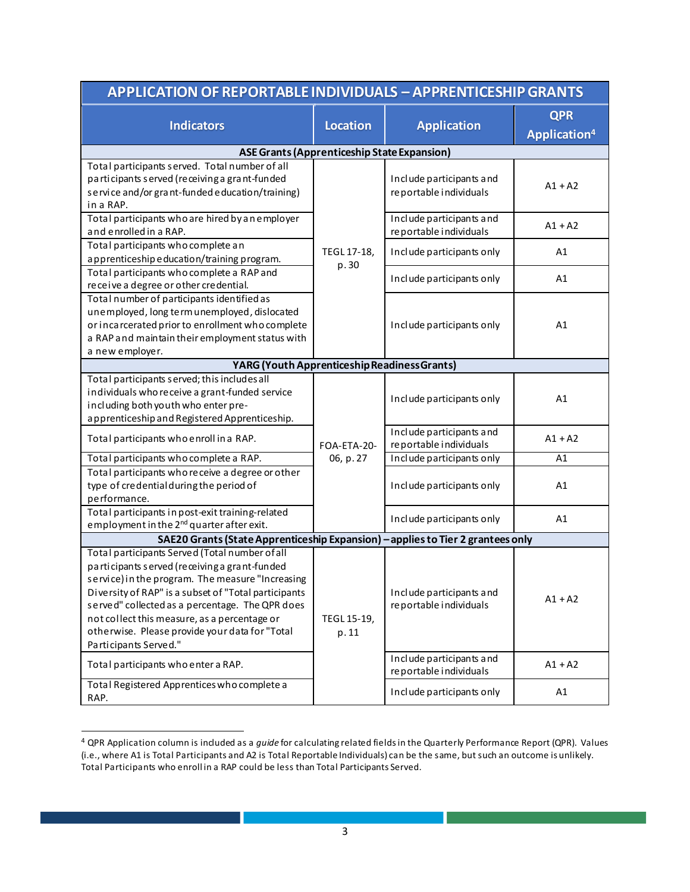| <b>APPLICATION OF REPORTABLE INDIVIDUALS - APPRENTICESHIP GRANTS</b>                                    |                                       |                                                     |                          |  |  |
|---------------------------------------------------------------------------------------------------------|---------------------------------------|-----------------------------------------------------|--------------------------|--|--|
| <b>Indicators</b>                                                                                       | <b>Location</b><br><b>Application</b> | <b>QPR</b>                                          |                          |  |  |
|                                                                                                         |                                       |                                                     | Application <sup>4</sup> |  |  |
| <b>ASE Grants (Apprenticeship State Expansion)</b>                                                      |                                       |                                                     |                          |  |  |
| Total participants served. Total number of all                                                          |                                       | Include participants and<br>re portable individuals |                          |  |  |
| participants served (receiving a grant-funded                                                           | TEGL 17-18,<br>p.30                   |                                                     | $A1 + A2$                |  |  |
| service and/or grant-funded education/training)<br>in a RAP.                                            |                                       |                                                     |                          |  |  |
| Total participants who are hired by an employer                                                         |                                       | Include participants and                            |                          |  |  |
| and enrolled in a RAP.                                                                                  |                                       | re portable individuals                             | $A1 + A2$                |  |  |
| Total participants who complete an                                                                      |                                       | Include participants only                           | A1                       |  |  |
| apprenticeship education/training program.                                                              |                                       |                                                     |                          |  |  |
| Total participants who complete a RAP and                                                               |                                       | Include participants only                           | A1                       |  |  |
| receive a degree or other credential.                                                                   |                                       |                                                     |                          |  |  |
| Total number of participants identified as<br>unemployed, long term unemployed, dislocated              |                                       | Include participants only                           | A1                       |  |  |
| or incarcerated prior to enrollment who complete                                                        |                                       |                                                     |                          |  |  |
| a RAP and maintain their employment status with                                                         |                                       |                                                     |                          |  |  |
| a new employer.                                                                                         |                                       |                                                     |                          |  |  |
| YARG (Youth Apprenticeship Readiness Grants)                                                            |                                       |                                                     |                          |  |  |
| Total participants served; this includes all                                                            |                                       | Include participants only                           |                          |  |  |
| individuals who receive a grant-funded service                                                          |                                       |                                                     | A1                       |  |  |
| including both youth who enter pre-                                                                     | FOA-ETA-20-                           |                                                     |                          |  |  |
| apprenticeship and Registered Apprenticeship.                                                           |                                       | Include participants and                            |                          |  |  |
| Total participants who enroll in a RAP.                                                                 |                                       | reportable individuals                              | $A1 + A2$                |  |  |
| Total participants who complete a RAP.                                                                  | 06, p. 27                             | Include participants only                           | A1                       |  |  |
| Total participants who receive a degree or other                                                        |                                       | Include participants only                           |                          |  |  |
| type of credential during the period of                                                                 |                                       |                                                     | A1                       |  |  |
| performance.<br>Total participants in post-exit training-related                                        |                                       |                                                     |                          |  |  |
| employment in the 2 <sup>nd</sup> quarter after exit.                                                   |                                       | Include participants only                           | A1                       |  |  |
| SAE20 Grants (State Apprenticeship Expansion) - applies to Tier 2 grantees only                         |                                       |                                                     |                          |  |  |
| Total participants Served (Total number of all                                                          |                                       |                                                     |                          |  |  |
| participants served (receiving a grant-funded                                                           | TEGL 15-19,<br>p. 11                  | Include participants and<br>reportable individuals  |                          |  |  |
| service) in the program. The measure "Increasing                                                        |                                       |                                                     |                          |  |  |
| Diversity of RAP" is a subset of "Total participants<br>served" collected as a percentage. The QPR does |                                       |                                                     | $A1 + A2$                |  |  |
| not collect this measure, as a percentage or                                                            |                                       |                                                     |                          |  |  |
| otherwise. Please provide your data for "Total                                                          |                                       |                                                     |                          |  |  |
| Participants Served."                                                                                   |                                       |                                                     |                          |  |  |
| Total participants who enter a RAP.                                                                     |                                       | Include participants and<br>reportable individuals  | $A1 + A2$                |  |  |
| Total Registered Apprentices who complete a                                                             |                                       |                                                     |                          |  |  |
| RAP.                                                                                                    |                                       | Include participants only                           | Α1                       |  |  |

<sup>4</sup> QPR Application column is included as a *guide* for calculating related fields in the Quarterly Performance Report (QPR). Values (i.e., where A1 is Total Participants and A2 is Total Reportable Individuals) can be the same, but such an outcome is unlikely. Total Participants who enroll in a RAP could be less than Total Participants Served.

 $\overline{a}$